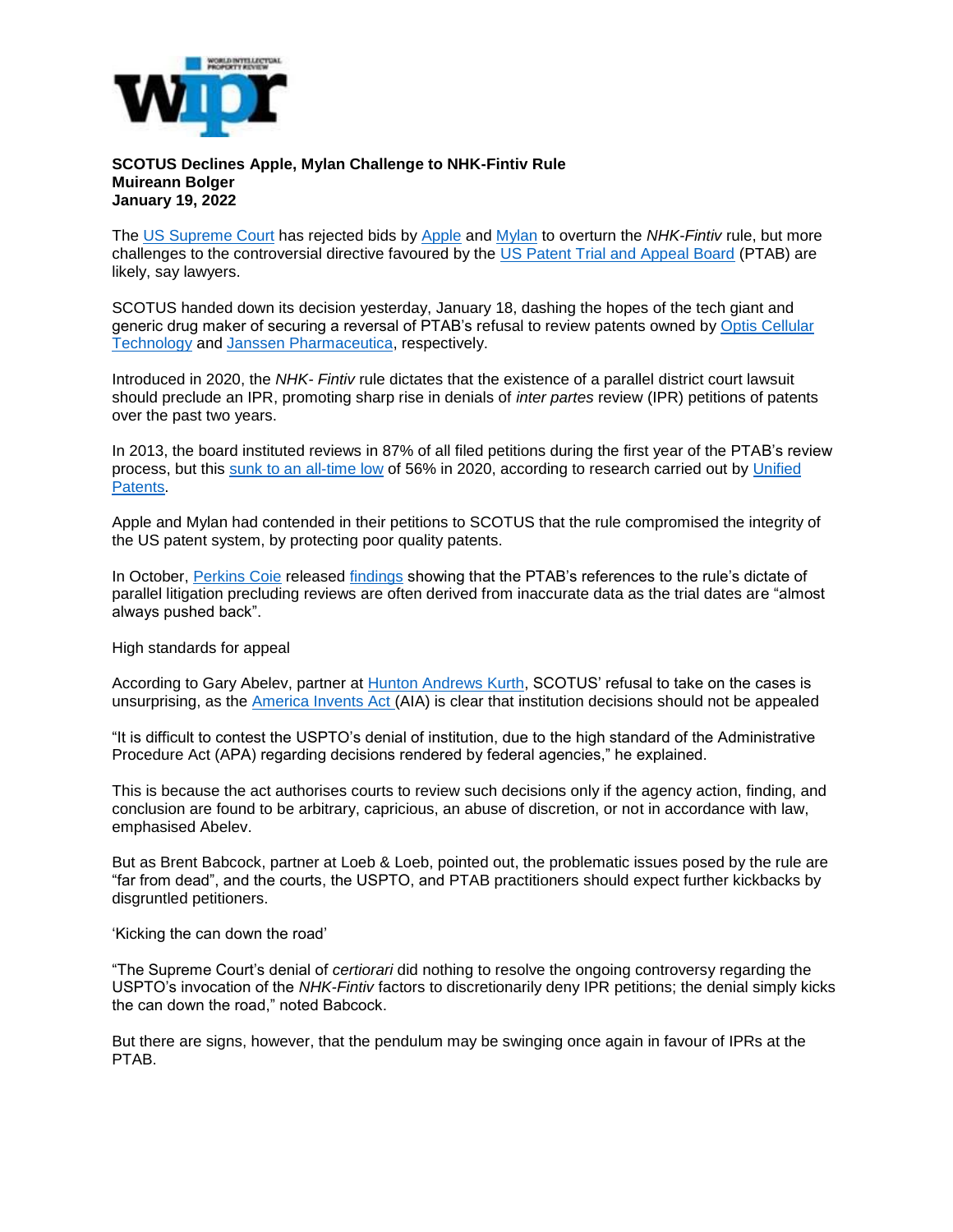

## **SCOTUS Declines Apple, Mylan Challenge to NHK-Fintiv Rule Muireann Bolger January 19, 2022**

The [US Supreme Court](https://nam12.safelinks.protection.outlook.com/?url=https%3A%2F%2Fwww.supremecourt.gov%2F&data=04%7C01%7Ckhill%40McKoolSmith.com%7C19e5473e9a3b4ec9ef9008d9dc407e09%7Ca106bb62384d4c2293e4f660180b558c%7C0%7C0%7C637782991867050120%7CUnknown%7CTWFpbGZsb3d8eyJWIjoiMC4wLjAwMDAiLCJQIjoiV2luMzIiLCJBTiI6Ik1haWwiLCJXVCI6Mn0%3D%7C3000&sdata=EcyDw2R6hRl96CxUqKSogpd2U4cesHWBj2TSsLL6oKE%3D&reserved=0) has rejected bids by [Apple](https://nam12.safelinks.protection.outlook.com/?url=https%3A%2F%2Fwww.apple.com%2Fuk%2F&data=04%7C01%7Ckhill%40McKoolSmith.com%7C19e5473e9a3b4ec9ef9008d9dc407e09%7Ca106bb62384d4c2293e4f660180b558c%7C0%7C0%7C637782991867060074%7CUnknown%7CTWFpbGZsb3d8eyJWIjoiMC4wLjAwMDAiLCJQIjoiV2luMzIiLCJBTiI6Ik1haWwiLCJXVCI6Mn0%3D%7C3000&sdata=V%2BriIWClj0R40QwI2aCasYwbW8yzezjOzff%2FsaaCZ18%3D&reserved=0) and [Mylan](https://nam12.safelinks.protection.outlook.com/?url=https%3A%2F%2Fwww.mylan.com%2F&data=04%7C01%7Ckhill%40McKoolSmith.com%7C19e5473e9a3b4ec9ef9008d9dc407e09%7Ca106bb62384d4c2293e4f660180b558c%7C0%7C0%7C637782991867070032%7CUnknown%7CTWFpbGZsb3d8eyJWIjoiMC4wLjAwMDAiLCJQIjoiV2luMzIiLCJBTiI6Ik1haWwiLCJXVCI6Mn0%3D%7C3000&sdata=eBujVHmb4SG92X0aJKqVAt%2FgrmjCO3z%2FORNk%2FixefaU%3D&reserved=0) to overturn the *NHK-Fintiv* rule, but more challenges to the controversial directive favoured by the [US Patent Trial and Appeal Board](https://nam12.safelinks.protection.outlook.com/?url=https%3A%2F%2Fwww.uspto.gov%2Fpatents%2Fptab&data=04%7C01%7Ckhill%40McKoolSmith.com%7C19e5473e9a3b4ec9ef9008d9dc407e09%7Ca106bb62384d4c2293e4f660180b558c%7C0%7C0%7C637782991867070032%7CUnknown%7CTWFpbGZsb3d8eyJWIjoiMC4wLjAwMDAiLCJQIjoiV2luMzIiLCJBTiI6Ik1haWwiLCJXVCI6Mn0%3D%7C3000&sdata=9vMsQAqak8N3qCVBl7B6aJYRddb8wWec8p8WOVCz9nM%3D&reserved=0) (PTAB) are likely, say lawyers.

SCOTUS handed down its decision yesterday, January 18, dashing the hopes of the tech giant and generic drug maker of securing a reversal of PTAB's refusal to review patents owned by Optis Cellular [Technology](https://nam12.safelinks.protection.outlook.com/?url=https%3A%2F%2Fpanoptis.com%2Fportfolios%2F&data=04%7C01%7Ckhill%40McKoolSmith.com%7C19e5473e9a3b4ec9ef9008d9dc407e09%7Ca106bb62384d4c2293e4f660180b558c%7C0%7C0%7C637782991867079991%7CUnknown%7CTWFpbGZsb3d8eyJWIjoiMC4wLjAwMDAiLCJQIjoiV2luMzIiLCJBTiI6Ik1haWwiLCJXVCI6Mn0%3D%7C3000&sdata=q0iLuclUFCCvRYsqYqCiP2HnU9C3takaAkvuYNQPSo0%3D&reserved=0) and [Janssen Pharmaceutica,](https://nam12.safelinks.protection.outlook.com/?url=https%3A%2F%2Fwww.janssen.com%2F&data=04%7C01%7Ckhill%40McKoolSmith.com%7C19e5473e9a3b4ec9ef9008d9dc407e09%7Ca106bb62384d4c2293e4f660180b558c%7C0%7C0%7C637782991867089948%7CUnknown%7CTWFpbGZsb3d8eyJWIjoiMC4wLjAwMDAiLCJQIjoiV2luMzIiLCJBTiI6Ik1haWwiLCJXVCI6Mn0%3D%7C3000&sdata=%2BqZf4mevNBAf5WOD2aVBCXZOUtfBSd%2BuvPBmsb4n0Cs%3D&reserved=0) respectively.

Introduced in 2020, the *NHK- Fintiv* rule dictates that the existence of a parallel district court lawsuit should preclude an IPR, promoting sharp rise in denials of *inter partes* review (IPR) petitions of patents over the past two years.

In 2013, the board instituted reviews in 87% of all filed petitions during the first year of the PTAB's review process, but this [sunk to an all-time low](https://nam12.safelinks.protection.outlook.com/?url=https%3A%2F%2Fwww.worldipreview.com%2Fnews%2Fnhk-fintiv-as-ptab-denials-mount-petitioners-seek-a-remedy-21171&data=04%7C01%7Ckhill%40McKoolSmith.com%7C19e5473e9a3b4ec9ef9008d9dc407e09%7Ca106bb62384d4c2293e4f660180b558c%7C0%7C0%7C637782991867089948%7CUnknown%7CTWFpbGZsb3d8eyJWIjoiMC4wLjAwMDAiLCJQIjoiV2luMzIiLCJBTiI6Ik1haWwiLCJXVCI6Mn0%3D%7C3000&sdata=KG7JO7rmRur0OgN5qil9z5pbH4PlJA0shDUbvvGfre4%3D&reserved=0) of 56% in 2020, according to research carried out by [Unified](https://nam12.safelinks.protection.outlook.com/?url=https%3A%2F%2Fwww.unifiedpatents.com%2F&data=04%7C01%7Ckhill%40McKoolSmith.com%7C19e5473e9a3b4ec9ef9008d9dc407e09%7Ca106bb62384d4c2293e4f660180b558c%7C0%7C0%7C637782991867099908%7CUnknown%7CTWFpbGZsb3d8eyJWIjoiMC4wLjAwMDAiLCJQIjoiV2luMzIiLCJBTiI6Ik1haWwiLCJXVCI6Mn0%3D%7C3000&sdata=j9sDIbJnqsx2uB67JhDqmfm17RqjavKTq5ciyDsuuSw%3D&reserved=0)  [Patents.](https://nam12.safelinks.protection.outlook.com/?url=https%3A%2F%2Fwww.unifiedpatents.com%2F&data=04%7C01%7Ckhill%40McKoolSmith.com%7C19e5473e9a3b4ec9ef9008d9dc407e09%7Ca106bb62384d4c2293e4f660180b558c%7C0%7C0%7C637782991867099908%7CUnknown%7CTWFpbGZsb3d8eyJWIjoiMC4wLjAwMDAiLCJQIjoiV2luMzIiLCJBTiI6Ik1haWwiLCJXVCI6Mn0%3D%7C3000&sdata=j9sDIbJnqsx2uB67JhDqmfm17RqjavKTq5ciyDsuuSw%3D&reserved=0)

Apple and Mylan had contended in their petitions to SCOTUS that the rule compromised the integrity of the US patent system, by protecting poor quality patents.

In October, [Perkins Coie](https://nam12.safelinks.protection.outlook.com/?url=https%3A%2F%2Fperkinscoie.com%2F&data=04%7C01%7Ckhill%40McKoolSmith.com%7C19e5473e9a3b4ec9ef9008d9dc407e09%7Ca106bb62384d4c2293e4f660180b558c%7C0%7C0%7C637782991867109859%7CUnknown%7CTWFpbGZsb3d8eyJWIjoiMC4wLjAwMDAiLCJQIjoiV2luMzIiLCJBTiI6Ik1haWwiLCJXVCI6Mn0%3D%7C3000&sdata=Unc3RCKKJdUJhXpScSg2pZiL7Wx7L9ZImV2%2FKWgmPTQ%3D&reserved=0) released [findings](https://nam12.safelinks.protection.outlook.com/?url=https%3A%2F%2Fwww.1600ptab.com%2F2021%2F10%2Fhow-reliable-are-trial-dates-relied-on-by-the-ptab-in-the-fintiv-analysis%2F&data=04%7C01%7Ckhill%40McKoolSmith.com%7C19e5473e9a3b4ec9ef9008d9dc407e09%7Ca106bb62384d4c2293e4f660180b558c%7C0%7C0%7C637782991867119812%7CUnknown%7CTWFpbGZsb3d8eyJWIjoiMC4wLjAwMDAiLCJQIjoiV2luMzIiLCJBTiI6Ik1haWwiLCJXVCI6Mn0%3D%7C3000&sdata=4B2osqSGc3bsz575b2qezoVtqaO5NhXMdH1aYzsq1BU%3D&reserved=0) showing that the PTAB's references to the rule's dictate of parallel litigation precluding reviews are often derived from inaccurate data as the trial dates are "almost always pushed back".

High standards for appeal

According to Gary Abelev, partner at [Hunton Andrews Kurth,](https://nam12.safelinks.protection.outlook.com/?url=https%3A%2F%2Fwww.huntonak.com%2Fen%2Fpeople%2F&data=04%7C01%7Ckhill%40McKoolSmith.com%7C19e5473e9a3b4ec9ef9008d9dc407e09%7Ca106bb62384d4c2293e4f660180b558c%7C0%7C0%7C637782991867119812%7CUnknown%7CTWFpbGZsb3d8eyJWIjoiMC4wLjAwMDAiLCJQIjoiV2luMzIiLCJBTiI6Ik1haWwiLCJXVCI6Mn0%3D%7C3000&sdata=4ukWJAEZtVOOZaXefsI4up7efEclieEIYx07epC%2BvVA%3D&reserved=0) SCOTUS' refusal to take on the cases is unsurprising, as the [America Invents Act](https://nam12.safelinks.protection.outlook.com/?url=https%3A%2F%2Fwww.mewburn.com%2Flaw-practice-library%2Fthe-america-invents-act&data=04%7C01%7Ckhill%40McKoolSmith.com%7C19e5473e9a3b4ec9ef9008d9dc407e09%7Ca106bb62384d4c2293e4f660180b558c%7C0%7C0%7C637782991867129766%7CUnknown%7CTWFpbGZsb3d8eyJWIjoiMC4wLjAwMDAiLCJQIjoiV2luMzIiLCJBTiI6Ik1haWwiLCJXVCI6Mn0%3D%7C3000&sdata=yBJzeIncEuZE3yOKKWSPGbAIEJ8rxilhqYsJrS0gsbk%3D&reserved=0) (AIA) is clear that institution decisions should not be appealed

"It is difficult to contest the USPTO's denial of institution, due to the high standard of the Administrative Procedure Act (APA) regarding decisions rendered by federal agencies," he explained.

This is because the act authorises courts to review such decisions only if the agency action, finding, and conclusion are found to be arbitrary, capricious, an abuse of discretion, or not in accordance with law, emphasised Abelev.

But as Brent Babcock, partner at Loeb & Loeb, pointed out, the problematic issues posed by the rule are "far from dead", and the courts, the USPTO, and PTAB practitioners should expect further kickbacks by disgruntled petitioners.

'Kicking the can down the road'

"The Supreme Court's denial of *certiorari* did nothing to resolve the ongoing controversy regarding the USPTO's invocation of the *NHK-Fintiv* factors to discretionarily deny IPR petitions; the denial simply kicks the can down the road," noted Babcock.

But there are signs, however, that the pendulum may be swinging once again in favour of IPRs at the PTAB.